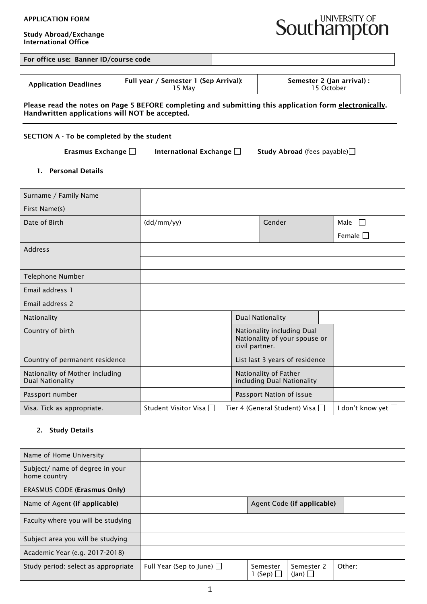#### APPLICATION FORM

Study Abroad/Exchange International Office



For office use: Banner ID/course code

|  | <b>Application Deadlines</b> | Full year / Semester 1 (Sep Arrival):<br>5 May | Semester 2 (Jan arrival) :<br>15 October |
|--|------------------------------|------------------------------------------------|------------------------------------------|
|--|------------------------------|------------------------------------------------|------------------------------------------|

## Please read the notes on Page 5 BEFORE completing and submitting this application form electronically. Handwritten applications will NOT be accepted.

## SECTION A - To be completed by the student

Erasmus Exchange  $\Box$  International Exchange  $\Box$  Study Abroad (fees payable) $\Box$ 

1. Personal Details

| Surname / Family Name                                      |                        |                                                                               |                    |
|------------------------------------------------------------|------------------------|-------------------------------------------------------------------------------|--------------------|
| First Name(s)                                              |                        |                                                                               |                    |
| Date of Birth                                              | (dd/mm/yy)             | Gender                                                                        | Male $\Box$        |
|                                                            |                        |                                                                               | Female $\square$   |
| <b>Address</b>                                             |                        |                                                                               |                    |
|                                                            |                        |                                                                               |                    |
| Telephone Number                                           |                        |                                                                               |                    |
| Email address 1                                            |                        |                                                                               |                    |
| Email address 2                                            |                        |                                                                               |                    |
| Nationality                                                |                        | <b>Dual Nationality</b>                                                       |                    |
| Country of birth                                           |                        | Nationality including Dual<br>Nationality of your spouse or<br>civil partner. |                    |
| Country of permanent residence                             |                        | List last 3 years of residence                                                |                    |
| Nationality of Mother including<br><b>Dual Nationality</b> |                        | Nationality of Father<br>including Dual Nationality                           |                    |
| Passport number                                            |                        | Passport Nation of issue                                                      |                    |
| Visa. Tick as appropriate.                                 | Student Visitor Visa □ | Tier 4 (General Student) Visa □                                               | I don't know yet □ |

## 2. Study Details

| Name of Home University                         |                                |                               |                                   |        |
|-------------------------------------------------|--------------------------------|-------------------------------|-----------------------------------|--------|
| Subject/ name of degree in your<br>home country |                                |                               |                                   |        |
| <b>ERASMUS CODE (Erasmus Only)</b>              |                                |                               |                                   |        |
| Name of Agent (if applicable)                   |                                |                               | Agent Code (if applicable)        |        |
| Faculty where you will be studying              |                                |                               |                                   |        |
| Subject area you will be studying               |                                |                               |                                   |        |
| Academic Year (e.g. 2017-2018)                  |                                |                               |                                   |        |
| Study period: select as appropriate             | Full Year (Sep to June) $\Box$ | Semester<br>$1$ (Sep) $\vert$ | Semester 2<br>$(\text{lan}) \Box$ | Other: |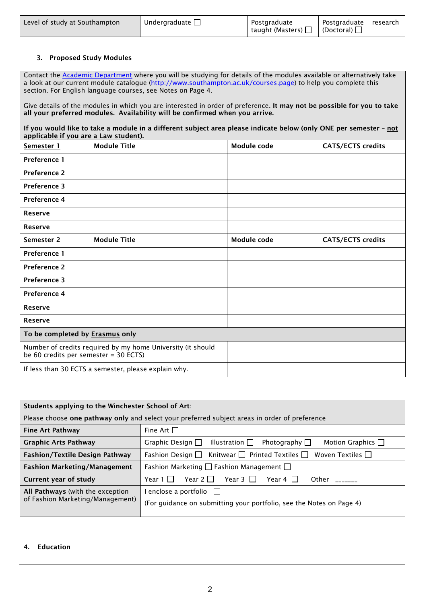| Level of study at Southampton | Undergraduate $\Box$ | Postgraduate<br>  taught (Masters) $\Box$   (Doctoral) $\Box$ | Postgraduate | research |
|-------------------------------|----------------------|---------------------------------------------------------------|--------------|----------|
|-------------------------------|----------------------|---------------------------------------------------------------|--------------|----------|

## 3. Proposed Study Modules

Contact the **Academic Department** where you will be studying for details of the modules available or alternatively take a look at our current module catalogue [\(http://www.southampton.ac.uk/courses.page\)](http://www.southampton.ac.uk/courses.page) to help you complete this section. For English language courses, see Notes on Page 4.

Give details of the modules in which you are interested in order of preference. It may not be possible for you to take all your preferred modules. Availability will be confirmed when you arrive.

If you would like to take a module in a different subject area please indicate below (only ONE per semester - not applicable if you are a Law student).

| Semester 1                                                                                           | <b>Module Title</b>                                  | Module code | <b>CATS/ECTS credits</b> |
|------------------------------------------------------------------------------------------------------|------------------------------------------------------|-------------|--------------------------|
| Preference 1                                                                                         |                                                      |             |                          |
| <b>Preference 2</b>                                                                                  |                                                      |             |                          |
| <b>Preference 3</b>                                                                                  |                                                      |             |                          |
| <b>Preference 4</b>                                                                                  |                                                      |             |                          |
| <b>Reserve</b>                                                                                       |                                                      |             |                          |
| <b>Reserve</b>                                                                                       |                                                      |             |                          |
| Semester 2                                                                                           | <b>Module Title</b>                                  | Module code | <b>CATS/ECTS credits</b> |
| Preference 1                                                                                         |                                                      |             |                          |
| <b>Preference 2</b>                                                                                  |                                                      |             |                          |
| <b>Preference 3</b>                                                                                  |                                                      |             |                          |
| Preference 4                                                                                         |                                                      |             |                          |
| <b>Reserve</b>                                                                                       |                                                      |             |                          |
| <b>Reserve</b>                                                                                       |                                                      |             |                          |
| To be completed by <b>Erasmus</b> only                                                               |                                                      |             |                          |
| Number of credits required by my home University (it should<br>be 60 credits per semester = 30 ECTS) |                                                      |             |                          |
|                                                                                                      | If less than 30 ECTS a semester, please explain why. |             |                          |

|                                                                      | Students applying to the Winchester School of Art:                                              |  |  |
|----------------------------------------------------------------------|-------------------------------------------------------------------------------------------------|--|--|
|                                                                      | Please choose one pathway only and select your preferred subject areas in order of preference   |  |  |
| <b>Fine Art Pathway</b>                                              | Fine Art $\Box$                                                                                 |  |  |
| <b>Graphic Arts Pathway</b>                                          | Graphic Design $\Box$<br>Illustration $\square$<br>Motion Graphics $\Box$<br>Photography $\Box$ |  |  |
| <b>Fashion/Textile Design Pathway</b>                                | Fashion Design $\Box$ Knitwear $\Box$ Printed Textiles $\Box$<br>Woven Textiles $\Box$          |  |  |
| <b>Fashion Marketing/Management</b>                                  | Fashion Marketing $\Box$ Fashion Management $\Box$                                              |  |  |
| Current year of study                                                | Year $2 \Box$<br>Year 3 $\Box$<br>Other<br>Year 1    <br>Year 4                                 |  |  |
| All Pathways (with the exception<br>of Fashion Marketing/Management) | enclose a portfolio<br>(For guidance on submitting your portfolio, see the Notes on Page 4)     |  |  |

## 4. Education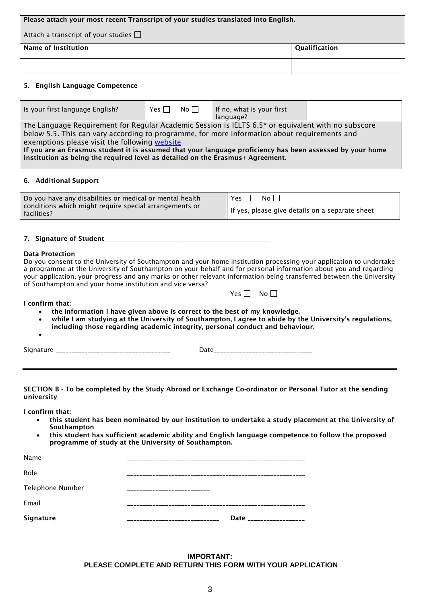| Please attach your most recent Transcript of your studies translated into English. |  |  |
|------------------------------------------------------------------------------------|--|--|
| Attach a transcript of your studies $\Box$                                         |  |  |
| Name of Institution<br>Qualification                                               |  |  |
|                                                                                    |  |  |

## 5. English Language Competence

| Is your first language English?                                                                                                                                                                                                                                                                                                                                                                                                                    | Yes $\Box$ | No $\Box$ | If no, what is your first<br>language? |  |
|----------------------------------------------------------------------------------------------------------------------------------------------------------------------------------------------------------------------------------------------------------------------------------------------------------------------------------------------------------------------------------------------------------------------------------------------------|------------|-----------|----------------------------------------|--|
| The Language Requirement for Regular Academic Session is IELTS 6.5* or equivalent with no subscore<br>below 5.5. This can vary according to programme, for more information about requirements and<br>exemptions please visit the following website<br>If you are an Erasmus student it is assumed that your language proficiency has been assessed by your home<br>institution as being the required level as detailed on the Erasmus+ Agreement. |            |           |                                        |  |
|                                                                                                                                                                                                                                                                                                                                                                                                                                                    |            |           |                                        |  |

#### 6. Additional Support

| Do you have any disabilities or medical or mental health              | Yes [<br>No II                                  |
|-----------------------------------------------------------------------|-------------------------------------------------|
| conditions which might require special arrangements or<br>facilities? | If yes, please give details on a separate sheet |

#### 7. Signature of Student\_\_\_\_\_\_\_\_\_\_\_\_\_\_\_\_\_\_\_\_\_\_\_\_\_\_\_\_\_\_\_\_\_\_\_\_\_\_\_\_\_\_\_\_\_\_\_\_\_\_\_\_

#### Data Protection

Do you consent to the University of Southampton and your home institution processing your application to undertake a programme at the University of Southampton on your behalf and for personal information about you and regarding your application, your progress and any marks or other relevant information being transferred between the University of Southampton and your home institution and vice versa?

| v<br>$\sim$ | N٥ |
|-------------|----|
|-------------|----|

#### I confirm that:

- the information I have given above is correct to the best of my knowledge.
- while I am studying at the University of Southampton, I agree to abide by the University's regulations,
- including those regarding academic integrity, personal conduct and behaviour.
- •

Signature \_\_\_\_\_\_\_\_\_\_\_\_\_\_\_\_\_\_\_\_\_\_\_\_\_\_\_\_\_\_\_\_\_\_\_\_ Date\_\_\_\_\_\_\_\_\_\_\_\_\_\_\_\_\_\_\_\_\_\_\_\_\_\_\_\_\_\_\_

SECTION B - To be completed by the Study Abroad or Exchange Co-ordinator or Personal Tutor at the sending university

I confirm that:

- this student has been nominated by our institution to undertake a study placement at the University of Southampton
- this student has sufficient academic ability and English language competence to follow the proposed programme of study at the University of Southampton.

| Signature        |              | Date ________________ |
|------------------|--------------|-----------------------|
| Email            |              |                       |
| Telephone Number | ------------ |                       |
| Role             |              |                       |
| Name             |              |                       |

**IMPORTANT: PLEASE COMPLETE AND RETURN THIS FORM WITH YOUR APPLICATION**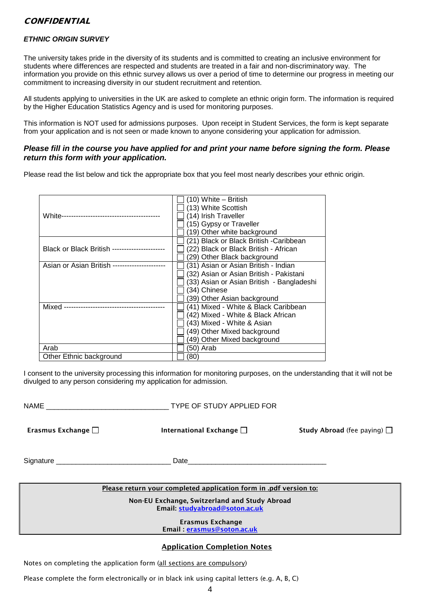# **CONFIDENTIAL**

## *ETHNIC ORIGIN SURVEY*

The university takes pride in the diversity of its students and is committed to creating an inclusive environment for students where differences are respected and students are treated in a fair and non-discriminatory way. The information you provide on this ethnic survey allows us over a period of time to determine our progress in meeting our commitment to increasing diversity in our student recruitment and retention.

All students applying to universities in the UK are asked to complete an ethnic origin form. The information is required by the Higher Education Statistics Agency and is used for monitoring purposes.

This information is NOT used for admissions purposes. Upon receipt in Student Services, the form is kept separate from your application and is not seen or made known to anyone considering your application for admission.

## *Please fill in the course you have applied for and print your name before signing the form. Please return this form with your application.*

Please read the list below and tick the appropriate box that you feel most nearly describes your ethnic origin.

|                                     | $(10)$ White – British                    |
|-------------------------------------|-------------------------------------------|
|                                     | (13) White Scottish                       |
| White------------------------       | (14) Irish Traveller                      |
|                                     | (15) Gypsy or Traveller                   |
|                                     | (19) Other white background               |
|                                     | (21) Black or Black British -Caribbean    |
| Black or Black British -----------  | (22) Black or Black British - African     |
|                                     | (29) Other Black background               |
| Asian or Asian British ------------ | (31) Asian or Asian British - Indian      |
|                                     | (32) Asian or Asian British - Pakistani   |
|                                     | (33) Asian or Asian British - Bangladeshi |
|                                     | (34) Chinese                              |
|                                     | (39) Other Asian background               |
| Mixed -                             | (41) Mixed - White & Black Caribbean      |
|                                     | (42) Mixed - White & Black African        |
|                                     | (43) Mixed - White & Asian                |
|                                     | (49) Other Mixed background               |
|                                     | (49) Other Mixed background               |
| Arab                                | (50) Arab                                 |
| Other Ethnic background             | 80)                                       |

I consent to the university processing this information for monitoring purposes, on the understanding that it will not be divulged to any person considering my application for admission.

| NAME <b>NAME</b>                                                                | TYPE OF STUDY APPLIED FOR     |                                         |
|---------------------------------------------------------------------------------|-------------------------------|-----------------------------------------|
| Erasmus Exchange $\square$                                                      | International Exchange $\Box$ | <b>Study Abroad</b> (fee paying) $\Box$ |
|                                                                                 |                               |                                         |
| Please return your completed application form in .pdf version to:               |                               |                                         |
| Non-EU Exchange, Switzerland and Study Abroad<br>Email: studyabroad@soton.ac.uk |                               |                                         |
| Erasmus Exchange<br>Email: erasmus@soton.ac.uk                                  |                               |                                         |

## Application Completion Notes

Notes on completing the application form (all sections are compulsory)

Please complete the form electronically or in black ink using capital letters (e.g. A, B, C)